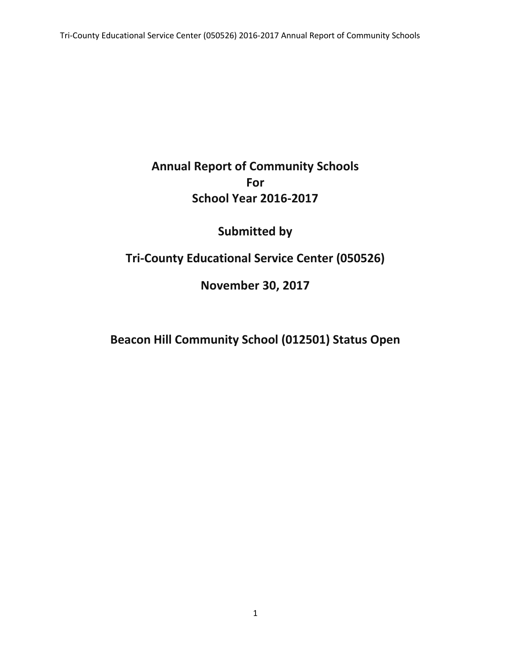# **Annual Report of Community Schools For School Year 2016-2017**

# **Submitted by**

## **Tri-County Educational Service Center (050526)**

### **November 30, 2017**

# **Beacon Hill Community School (012501) Status Open**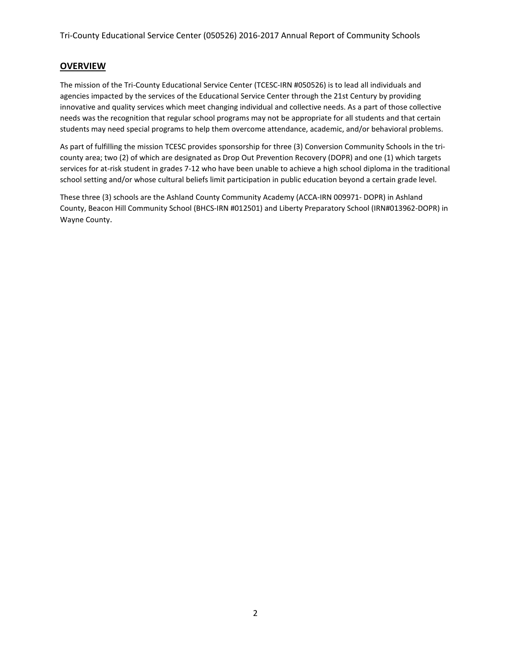#### **OVERVIEW**

The mission of the Tri-County Educational Service Center (TCESC-IRN #050526) is to lead all individuals and agencies impacted by the services of the Educational Service Center through the 21st Century by providing innovative and quality services which meet changing individual and collective needs. As a part of those collective needs was the recognition that regular school programs may not be appropriate for all students and that certain students may need special programs to help them overcome attendance, academic, and/or behavioral problems.

As part of fulfilling the mission TCESC provides sponsorship for three (3) Conversion Community Schools in the tricounty area; two (2) of which are designated as Drop Out Prevention Recovery (DOPR) and one (1) which targets services for at-risk student in grades 7-12 who have been unable to achieve a high school diploma in the traditional school setting and/or whose cultural beliefs limit participation in public education beyond a certain grade level.

These three (3) schools are the Ashland County Community Academy (ACCA-IRN 009971- DOPR) in Ashland County, Beacon Hill Community School (BHCS-IRN #012501) and Liberty Preparatory School (IRN#013962-DOPR) in Wayne County.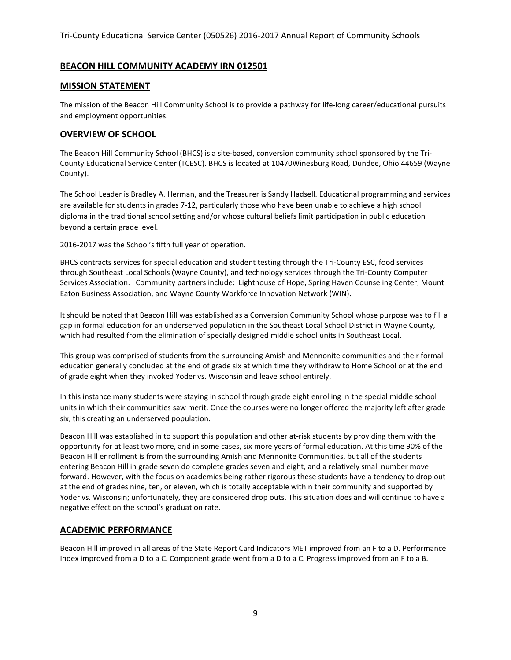#### **BEACON HILL COMMUNITY ACADEMY IRN 012501**

#### **MISSION STATEMENT**

The mission of the Beacon Hill Community School is to provide a pathway for life-long career/educational pursuits and employment opportunities.

#### **OVERVIEW OF SCHOOL**

The Beacon Hill Community School (BHCS) is a site-based, conversion community school sponsored by the Tri-County Educational Service Center (TCESC). BHCS is located at 10470Winesburg Road, Dundee, Ohio 44659 (Wayne County).

The School Leader is Bradley A. Herman, and the Treasurer is Sandy Hadsell. Educational programming and services are available for students in grades 7-12, particularly those who have been unable to achieve a high school diploma in the traditional school setting and/or whose cultural beliefs limit participation in public education beyond a certain grade level.

2016-2017 was the School's fifth full year of operation.

BHCS contracts services for special education and student testing through the Tri-County ESC, food services through Southeast Local Schools (Wayne County), and technology services through the Tri-County Computer Services Association. Community partners include: Lighthouse of Hope, Spring Haven Counseling Center, Mount Eaton Business Association, and Wayne County Workforce Innovation Network (WIN).

It should be noted that Beacon Hill was established as a Conversion Community School whose purpose was to fill a gap in formal education for an underserved population in the Southeast Local School District in Wayne County, which had resulted from the elimination of specially designed middle school units in Southeast Local.

This group was comprised of students from the surrounding Amish and Mennonite communities and their formal education generally concluded at the end of grade six at which time they withdraw to Home School or at the end of grade eight when they invoked Yoder vs. Wisconsin and leave school entirely.

In this instance many students were staying in school through grade eight enrolling in the special middle school units in which their communities saw merit. Once the courses were no longer offered the majority left after grade six, this creating an underserved population.

Beacon Hill was established in to support this population and other at-risk students by providing them with the opportunity for at least two more, and in some cases, six more years of formal education. At this time 90% of the Beacon Hill enrollment is from the surrounding Amish and Mennonite Communities, but all of the students entering Beacon Hill in grade seven do complete grades seven and eight, and a relatively small number move forward. However, with the focus on academics being rather rigorous these students have a tendency to drop out at the end of grades nine, ten, or eleven, which is totally acceptable within their community and supported by Yoder vs. Wisconsin; unfortunately, they are considered drop outs. This situation does and will continue to have a negative effect on the school's graduation rate.

#### **ACADEMIC PERFORMANCE**

Beacon Hill improved in all areas of the State Report Card Indicators MET improved from an F to a D. Performance Index improved from a D to a C. Component grade went from a D to a C. Progress improved from an F to a B.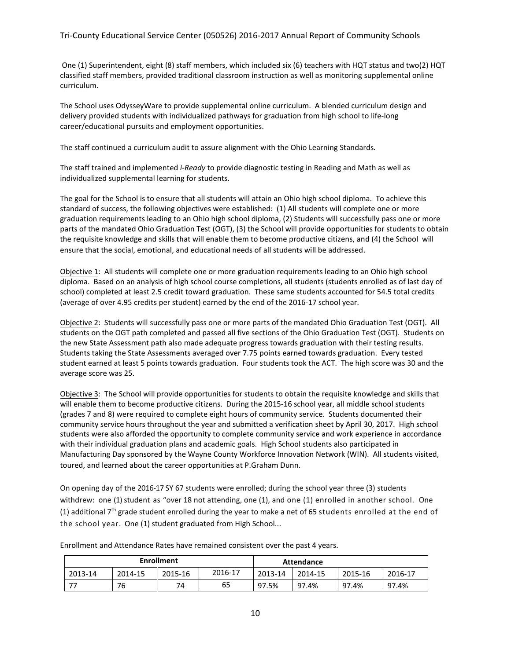#### Tri-County Educational Service Center (050526) 2016-2017 Annual Report of Community Schools

One (1) Superintendent, eight (8) staff members, which included six (6) teachers with HQT status and two(2) HQT classified staff members, provided traditional classroom instruction as well as monitoring supplemental online curriculum.

The School uses OdysseyWare to provide supplemental online curriculum. A blended curriculum design and delivery provided students with individualized pathways for graduation from high school to life-long career/educational pursuits and employment opportunities.

The staff continued a curriculum audit to assure alignment with the Ohio Learning Standards*.* 

The staff trained and implemented *i-Ready* to provide diagnostic testing in Reading and Math as well as individualized supplemental learning for students.

The goal for the School is to ensure that all students will attain an Ohio high school diploma. To achieve this standard of success, the following objectives were established: (1) All students will complete one or more graduation requirements leading to an Ohio high school diploma, (2) Students will successfully pass one or more parts of the mandated Ohio Graduation Test (OGT), (3) the School will provide opportunities for students to obtain the requisite knowledge and skills that will enable them to become productive citizens, and (4) the School will ensure that the social, emotional, and educational needs of all students will be addressed.

Objective 1: All students will complete one or more graduation requirements leading to an Ohio high school diploma. Based on an analysis of high school course completions, all students (students enrolled as of last day of school) completed at least 2.5 credit toward graduation. These same students accounted for 54.5 total credits (average of over 4.95 credits per student) earned by the end of the 2016-17 school year.

Objective 2: Students will successfully pass one or more parts of the mandated Ohio Graduation Test (OGT). All students on the OGT path completed and passed all five sections of the Ohio Graduation Test (OGT). Students on the new State Assessment path also made adequate progress towards graduation with their testing results. Students taking the State Assessments averaged over 7.75 points earned towards graduation. Every tested student earned at least 5 points towards graduation. Four students took the ACT. The high score was 30 and the average score was 25.

Objective 3: The School will provide opportunities for students to obtain the requisite knowledge and skills that will enable them to become productive citizens. During the 2015-16 school year, all middle school students (grades 7 and 8) were required to complete eight hours of community service. Students documented their community service hours throughout the year and submitted a verification sheet by April 30, 2017. High school students were also afforded the opportunity to complete community service and work experience in accordance with their individual graduation plans and academic goals. High School students also participated in Manufacturing Day sponsored by the Wayne County Workforce Innovation Network (WIN). All students visited, toured, and learned about the career opportunities at P.Graham Dunn.

On opening day of the 2016-17 SY 67 students were enrolled; during the school year three (3) students withdrew: one (1) student as "over 18 not attending, one (1), and one (1) enrolled in another school. One (1) additional  $7<sup>th</sup>$  grade student enrolled during the year to make a net of 65 students enrolled at the end of the school year. One (1) student graduated from High School...

| <b>Enrollment</b> |         |         |         | <b>Attendance</b> |         |         |         |
|-------------------|---------|---------|---------|-------------------|---------|---------|---------|
| 2013-14           | 2014-15 | 2015-16 | 2016-17 | 2013-14           | 2014-15 | 2015-16 | 2016-17 |
| 77                | 76      | 74      | 65      | 97.5%             | 97.4%   | 97.4%   | 97.4%   |

Enrollment and Attendance Rates have remained consistent over the past 4 years.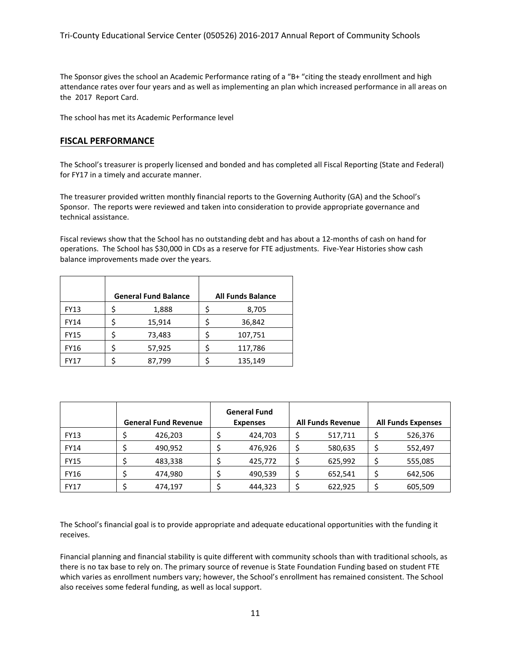The Sponsor gives the school an Academic Performance rating of a "B+ "citing the steady enrollment and high attendance rates over four years and as well as implementing an plan which increased performance in all areas on the 2017 Report Card.

The school has met its Academic Performance level

#### **FISCAL PERFORMANCE**

The School's treasurer is properly licensed and bonded and has completed all Fiscal Reporting (State and Federal) for FY17 in a timely and accurate manner.

The treasurer provided written monthly financial reports to the Governing Authority (GA) and the School's Sponsor. The reports were reviewed and taken into consideration to provide appropriate governance and technical assistance.

Fiscal reviews show that the School has no outstanding debt and has about a 12-months of cash on hand for operations. The School has \$30,000 in CDs as a reserve for FTE adjustments. Five-Year Histories show cash balance improvements made over the years.

|             | <b>General Fund Balance</b> | <b>All Funds Balance</b> |         |  |  |
|-------------|-----------------------------|--------------------------|---------|--|--|
| <b>FY13</b> | 1,888                       |                          | 8,705   |  |  |
| <b>FY14</b> | 15,914                      |                          | 36,842  |  |  |
| <b>FY15</b> | 73,483                      |                          | 107,751 |  |  |
| <b>FY16</b> | 57,925                      |                          | 117,786 |  |  |
| <b>FY17</b> | 87,799                      |                          | 135,149 |  |  |

|             | <b>General Fund Revenue</b> | <b>General Fund</b><br><b>Expenses</b> | <b>All Funds Revenue</b> | <b>All Funds Expenses</b> |
|-------------|-----------------------------|----------------------------------------|--------------------------|---------------------------|
| <b>FY13</b> | 426,203                     | 424,703                                | 517,711                  | 526,376                   |
| <b>FY14</b> | 490,952                     | 476,926                                | 580,635                  | 552,497                   |
| <b>FY15</b> | 483,338                     | 425,772                                | 625,992                  | 555,085                   |
| <b>FY16</b> | 474.980                     | 490,539                                | 652,541                  | 642,506                   |
| <b>FY17</b> | 474,197                     | 444,323                                | 622,925                  | 605,509                   |

The School's financial goal is to provide appropriate and adequate educational opportunities with the funding it receives.

Financial planning and financial stability is quite different with community schools than with traditional schools, as there is no tax base to rely on. The primary source of revenue is State Foundation Funding based on student FTE which varies as enrollment numbers vary; however, the School's enrollment has remained consistent. The School also receives some federal funding, as well as local support.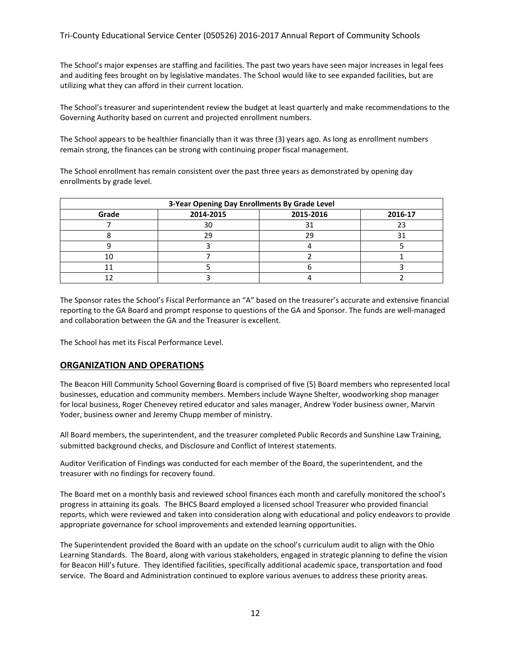The School's major expenses are staffing and facilities. The past two years have seen major increases in legal fees and auditing fees brought on by legislative mandates. The School would like to see expanded facilities, but are utilizing what they can afford in their current location.

The School's treasurer and superintendent review the budget at least quarterly and make recommendations to the Governing Authority based on current and projected enrollment numbers.

The School appears to be healthier financially than it was three (3) years ago. As long as enrollment numbers remain strong, the finances can be strong with continuing proper fiscal management.

The School enrollment has remain consistent over the past three years as demonstrated by opening day enrollments by grade level.

| 3-Year Opening Day Enrollments By Grade Level |           |           |         |  |  |  |  |
|-----------------------------------------------|-----------|-----------|---------|--|--|--|--|
| Grade                                         | 2014-2015 | 2015-2016 | 2016-17 |  |  |  |  |
|                                               | 30        |           |         |  |  |  |  |
|                                               |           | つく        |         |  |  |  |  |
|                                               |           |           |         |  |  |  |  |
|                                               |           |           |         |  |  |  |  |
|                                               |           |           |         |  |  |  |  |
|                                               |           |           |         |  |  |  |  |

The Sponsor rates the School's Fiscal Performance an "A" based on the treasurer's accurate and extensive financial reporting to the GA Board and prompt response to questions of the GA and Sponsor. The funds are well-managed and collaboration between the GA and the Treasurer is excellent.

The School has met its Fiscal Performance Level.

#### **ORGANIZATION AND OPERATIONS**

The Beacon Hill Community School Governing Board is comprised of five (5) Board members who represented local businesses, education and community members. Members include Wayne Shelter, woodworking shop manager for local business, Roger Chenevey retired educator and sales manager, Andrew Yoder business owner, Marvin Yoder, business owner and Jeremy Chupp member of ministry.

All Board members, the superintendent, and the treasurer completed Public Records and Sunshine Law Training, submitted background checks, and Disclosure and Conflict of Interest statements.

Auditor Verification of Findings was conducted for each member of the Board, the superintendent, and the treasurer with no findings for recovery found.

The Board met on a monthly basis and reviewed school finances each month and carefully monitored the school's progress in attaining its goals. The BHCS Board employed a licensed school Treasurer who provided financial reports, which were reviewed and taken into consideration along with educational and policy endeavors to provide appropriate governance for school improvements and extended learning opportunities.

The Superintendent provided the Board with an update on the school's curriculum audit to align with the Ohio Learning Standards. The Board, along with various stakeholders, engaged in strategic planning to define the vision for Beacon Hill's future. They identified facilities, specifically additional academic space, transportation and food service. The Board and Administration continued to explore various avenues to address these priority areas.